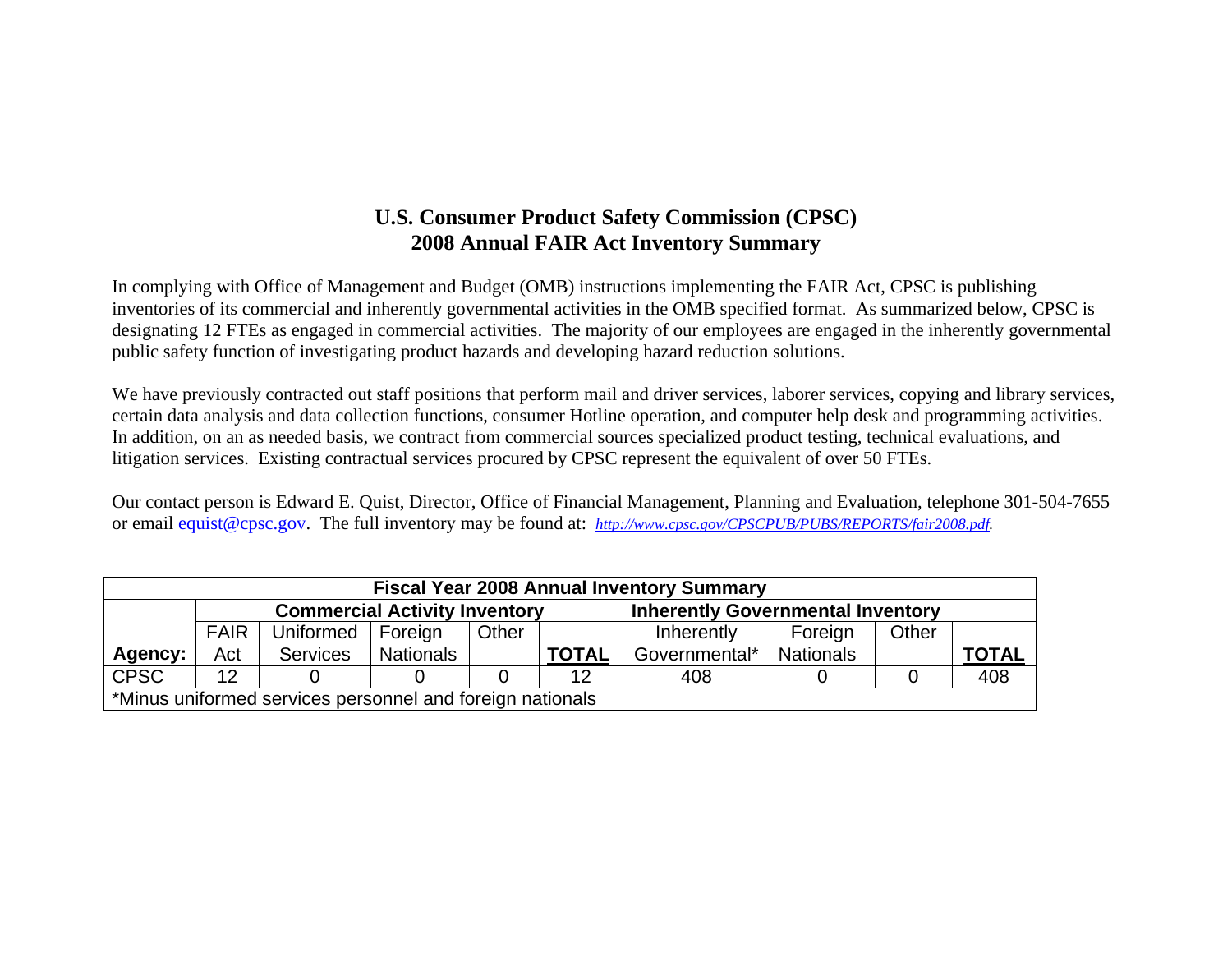## **U.S. Consumer Product Safety Commission (CPSC) 2008 Annual FAIR Act Inventory Summary**

In complying with Office of Management and Budget (OMB) instructions implementing the FAIR Act, CPSC is publishing inventories of its commercial and inherently governmental activities in the OMB specified format. As summarized below, CPSC is designating 12 FTEs as engaged in commercial activities. The majority of our employees are engaged in the inherently governmental public safety function of investigating product hazards and developing hazard reduction solutions.

We have previously contracted out staff positions that perform mail and driver services, laborer services, copying and library services, certain data analysis and data collection functions, consumer Hotline operation, and computer help desk and programming activities. In addition, on an as needed basis, we contract from commercial sources specialized product testing, technical evaluations, and litigation services. Existing contractual services procured by CPSC represent the equivalent of over 50 FTEs.

Our contact person is Edward E. Quist, Director, Office of Financial Management, Planning and Evaluation, telephone 301-504-7655 or email equist@cpsc.gov. The full inventory may be found at: *http://www.cpsc.gov/CPSCPUB/PUBS/REPORTS/fair2008.pdf.* 

|                                                                                | <b>Fiscal Year 2008 Annual Inventory Summary</b>          |                                      |           |  |              |                                          |                  |  |              |  |  |  |  |
|--------------------------------------------------------------------------------|-----------------------------------------------------------|--------------------------------------|-----------|--|--------------|------------------------------------------|------------------|--|--------------|--|--|--|--|
|                                                                                |                                                           | <b>Commercial Activity Inventory</b> |           |  |              | <b>Inherently Governmental Inventory</b> |                  |  |              |  |  |  |  |
| <b>FAIR</b><br>Uniformed<br>Other<br>Other<br>Foreign<br>Foreign<br>Inherently |                                                           |                                      |           |  |              |                                          |                  |  |              |  |  |  |  |
| Agency:                                                                        | Act                                                       | <b>Services</b>                      | Nationals |  | <b>TOTAL</b> | Governmental*                            | <b>Nationals</b> |  | <b>TOTAL</b> |  |  |  |  |
| <b>CPSC</b>                                                                    | $12 \overline{ }$                                         |                                      |           |  | 12           | 408                                      |                  |  | 408          |  |  |  |  |
|                                                                                | *Minus uniformed services personnel and foreign nationals |                                      |           |  |              |                                          |                  |  |              |  |  |  |  |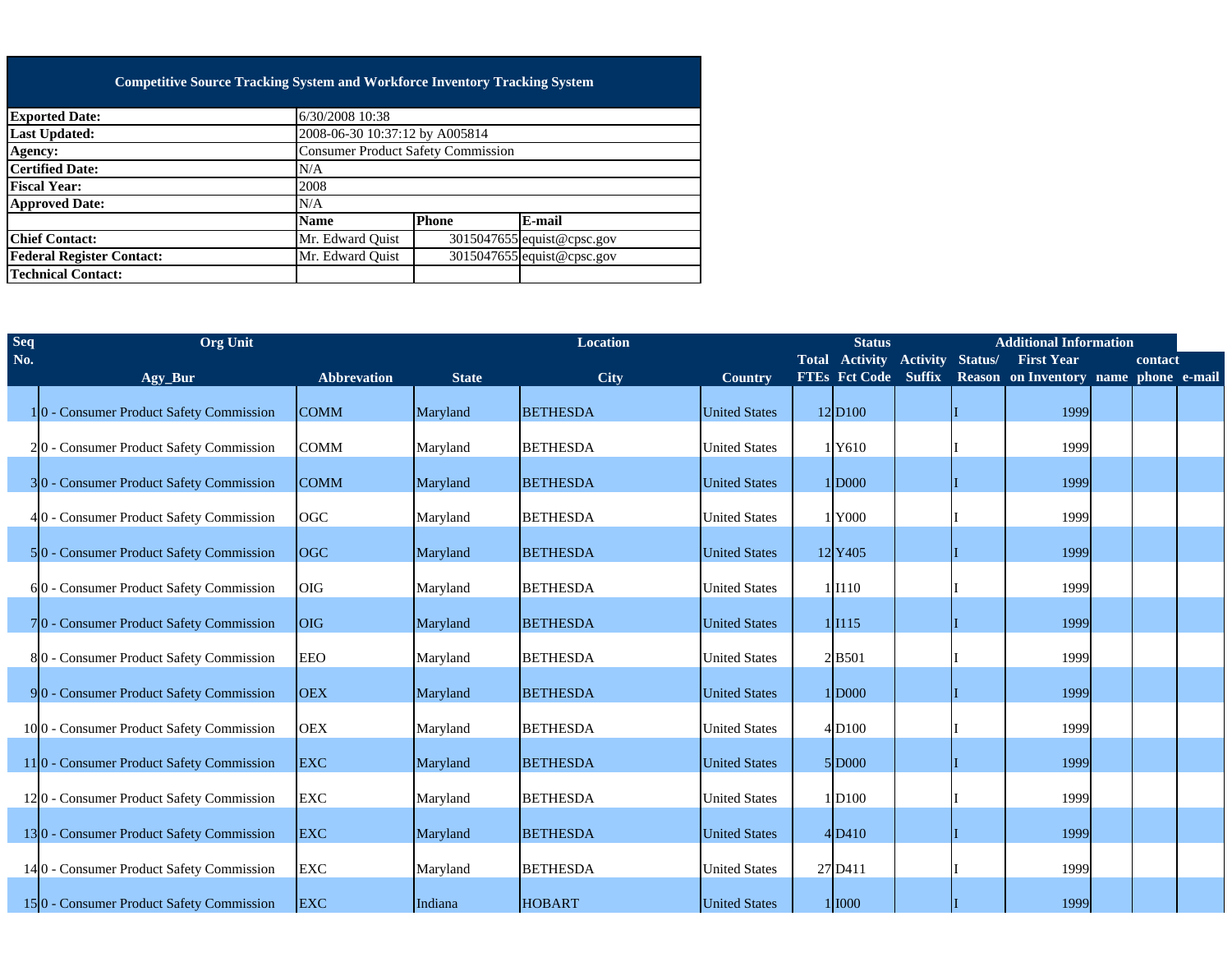## **Competitive Source Tracking System and Workforce Inventory Tracking System**

| <b>Exported Date:</b>            | 6/30/2008 10:38                           |              |                            |
|----------------------------------|-------------------------------------------|--------------|----------------------------|
| <b>Last Updated:</b>             | 2008-06-30 10:37:12 by A005814            |              |                            |
| <b>Agency:</b>                   | <b>Consumer Product Safety Commission</b> |              |                            |
| <b>Certified Date:</b>           | N/A                                       |              |                            |
| <b>Fiscal Year:</b>              | 2008                                      |              |                            |
| <b>Approved Date:</b>            | N/A                                       |              |                            |
|                                  | <b>Name</b>                               | <b>Phone</b> | E-mail                     |
| <b>Chief Contact:</b>            | Mr. Edward Ouist                          |              | 3015047655 equist@cpsc.gov |
| <b>Federal Register Contact:</b> | Mr. Edward Ouist                          |              | 3015047655 equist@cpsc.gov |
| <b>Technical Contact:</b>        |                                           |              |                            |
|                                  |                                           |              |                            |

| Seq | <b>Org Unit</b>                                      |                    | <b>Location</b> |                 |                      |  | <b>Status</b>               | <b>Additional Information</b><br>Total Activity Activity Status/<br><b>First Year</b> |                                       |  |         |  |
|-----|------------------------------------------------------|--------------------|-----------------|-----------------|----------------------|--|-----------------------------|---------------------------------------------------------------------------------------|---------------------------------------|--|---------|--|
| No. | Agy_Bur                                              | <b>Abbrevation</b> | <b>State</b>    | City            | Country              |  | <b>FTEs Fct Code Suffix</b> |                                                                                       | Reason on Inventory name phone e-mail |  | contact |  |
|     | 10 - Consumer Product Safety Commission              | <b>COMM</b>        | Maryland        | <b>BETHESDA</b> | <b>United States</b> |  | 12 D100                     |                                                                                       | 1999                                  |  |         |  |
|     | 20 - Consumer Product Safety Commission              | <b>COMM</b>        | Maryland        | <b>BETHESDA</b> | <b>United States</b> |  | 1Y610                       |                                                                                       | 1999                                  |  |         |  |
|     | 30 - Consumer Product Safety Commission              | <b>COMM</b>        | Maryland        | <b>BETHESDA</b> | <b>United States</b> |  | 1 D000                      |                                                                                       | 1999                                  |  |         |  |
|     | 40 - Consumer Product Safety Commission              | OGC                | Maryland        | <b>BETHESDA</b> | <b>United States</b> |  | 1Y000                       |                                                                                       | 1999                                  |  |         |  |
|     | 50 - Consumer Product Safety Commission              | <b>OGC</b>         | Maryland        | <b>BETHESDA</b> | <b>United States</b> |  | 12 Y405                     |                                                                                       | 1999                                  |  |         |  |
|     | 60 - Consumer Product Safety Commission              | <b>OIG</b>         | Maryland        | <b>BETHESDA</b> | <b>United States</b> |  | 1 I110                      |                                                                                       | 1999                                  |  |         |  |
|     | 70 - Consumer Product Safety Commission              | <b>OIG</b>         | Maryland        | <b>BETHESDA</b> | <b>United States</b> |  | $1$ $1115$                  |                                                                                       | 1999                                  |  |         |  |
|     | 80 - Consumer Product Safety Commission              | <b>EEO</b>         | Maryland        | <b>BETHESDA</b> | <b>United States</b> |  | 2B501                       |                                                                                       | 1999                                  |  |         |  |
|     | 90 - Consumer Product Safety Commission              | <b>OEX</b>         | Maryland        | <b>BETHESDA</b> | <b>United States</b> |  | 1 D000                      |                                                                                       | 1999                                  |  |         |  |
|     | 100 - Consumer Product Safety Commission             | <b>OEX</b>         | Maryland        | <b>BETHESDA</b> | <b>United States</b> |  | 4D100                       |                                                                                       | 1999                                  |  |         |  |
|     | 11 <sup>0</sup> - Consumer Product Safety Commission | <b>EXC</b>         | Maryland        | <b>BETHESDA</b> | <b>United States</b> |  | 5 D000                      |                                                                                       | 1999                                  |  |         |  |
|     | 120 - Consumer Product Safety Commission             | <b>EXC</b>         | Maryland        | <b>BETHESDA</b> | <b>United States</b> |  | 1D100                       |                                                                                       | 1999                                  |  |         |  |
|     | 130 - Consumer Product Safety Commission             | <b>EXC</b>         | Maryland        | <b>BETHESDA</b> | <b>United States</b> |  | $4$ D <sub>410</sub>        |                                                                                       | 1999                                  |  |         |  |
|     | 14 0 - Consumer Product Safety Commission            | <b>EXC</b>         | Maryland        | <b>BETHESDA</b> | <b>United States</b> |  | 27 D411                     |                                                                                       | 1999                                  |  |         |  |
|     | 150 - Consumer Product Safety Commission             | <b>EXC</b>         | Indiana         | <b>HOBART</b>   | <b>United States</b> |  | 1000                        |                                                                                       | 1999                                  |  |         |  |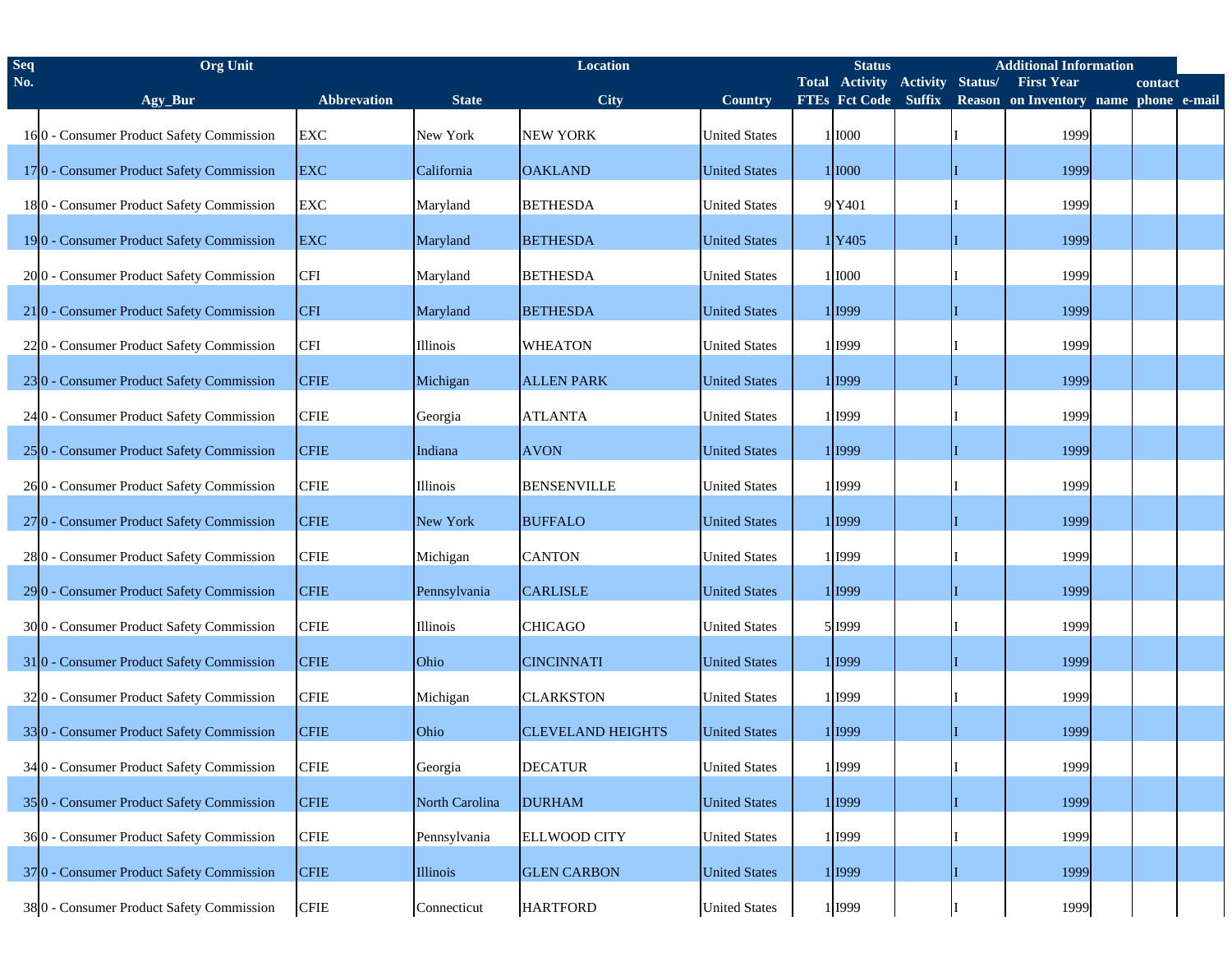| <b>Seq</b> | <b>Org</b> Unit                                      |                    | <b>Location</b> |                          |                      |  | <b>Additional Information</b><br><b>Status</b> |                 |         |                                       |  |         |  |
|------------|------------------------------------------------------|--------------------|-----------------|--------------------------|----------------------|--|------------------------------------------------|-----------------|---------|---------------------------------------|--|---------|--|
| No.        |                                                      |                    |                 |                          |                      |  | <b>Total Activity</b>                          | <b>Activity</b> | Status/ | <b>First Year</b>                     |  | contact |  |
|            | Agy_Bur                                              | <b>Abbrevation</b> | <b>State</b>    | City                     | Country              |  | FTEs Fct Code Suffix                           |                 |         | Reason on Inventory name phone e-mail |  |         |  |
|            | 160 - Consumer Product Safety Commission             | <b>EXC</b>         | New York        | <b>NEW YORK</b>          | <b>United States</b> |  | 1 1000                                         |                 |         | 1999                                  |  |         |  |
|            | 170 - Consumer Product Safety Commission             | <b>EXC</b>         | California      | <b>OAKLAND</b>           | <b>United States</b> |  | 1 1000                                         |                 |         | 1999                                  |  |         |  |
|            | 180 - Consumer Product Safety Commission             | <b>EXC</b>         | Maryland        | <b>BETHESDA</b>          | <b>United States</b> |  | 9 Y401                                         |                 |         | 1999                                  |  |         |  |
|            | 190 - Consumer Product Safety Commission             | <b>EXC</b>         | Maryland        | <b>BETHESDA</b>          | <b>United States</b> |  | 1Y405                                          |                 |         | 1999                                  |  |         |  |
|            | 2000 - Consumer Product Safety Commission            | <b>CFI</b>         | Maryland        | <b>BETHESDA</b>          | <b>United States</b> |  | 1 1000                                         |                 |         | 1999                                  |  |         |  |
|            | 210 - Consumer Product Safety Commission             | <b>CFI</b>         | Maryland        | <b>BETHESDA</b>          | <b>United States</b> |  | 1 1999                                         |                 |         | 1999                                  |  |         |  |
|            | 220 - Consumer Product Safety Commission             | <b>CFI</b>         | Illinois        | <b>WHEATON</b>           | <b>United States</b> |  | 1 1999                                         |                 |         | 1999                                  |  |         |  |
|            | 230 - Consumer Product Safety Commission             | <b>CFIE</b>        | Michigan        | <b>ALLEN PARK</b>        | <b>United States</b> |  | 1 1999                                         |                 |         | 1999                                  |  |         |  |
|            | 24 0 - Consumer Product Safety Commission            | <b>CFIE</b>        | Georgia         | <b>ATLANTA</b>           | <b>United States</b> |  | 1 1999                                         |                 |         | 1999                                  |  |         |  |
|            | 25 <sup>0</sup> - Consumer Product Safety Commission | <b>CFIE</b>        | Indiana         | <b>AVON</b>              | <b>United States</b> |  | 1 I999                                         |                 |         | 1999                                  |  |         |  |
|            | 260 - Consumer Product Safety Commission             | <b>CFIE</b>        | Illinois        | <b>BENSENVILLE</b>       | <b>United States</b> |  | 1 I999                                         |                 |         | 1999                                  |  |         |  |
|            | 27 <sup>0</sup> - Consumer Product Safety Commission | <b>CFIE</b>        | New York        | <b>BUFFALO</b>           | <b>United States</b> |  | 1 1999                                         |                 |         | 1999                                  |  |         |  |
|            | 280 - Consumer Product Safety Commission             | <b>CFIE</b>        | Michigan        | <b>CANTON</b>            | <b>United States</b> |  | 1 1999                                         |                 |         | 1999                                  |  |         |  |
|            | 29 0 - Consumer Product Safety Commission            | <b>CFIE</b>        | Pennsylvania    | <b>CARLISLE</b>          | <b>United States</b> |  | 1 1999                                         |                 |         | 1999                                  |  |         |  |
|            | 300 - Consumer Product Safety Commission             | <b>CFIE</b>        | Illinois        | <b>CHICAGO</b>           | <b>United States</b> |  | 5 1999                                         |                 |         | 1999                                  |  |         |  |
|            | 310 - Consumer Product Safety Commission             | <b>CFIE</b>        | Ohio            | <b>CINCINNATI</b>        | <b>United States</b> |  | 1 1999                                         |                 |         | 1999                                  |  |         |  |
|            | 320 - Consumer Product Safety Commission             | <b>CFIE</b>        | Michigan        | <b>CLARKSTON</b>         | <b>United States</b> |  | 1 1999                                         |                 |         | 1999                                  |  |         |  |
|            | 330 - Consumer Product Safety Commission             | <b>CFIE</b>        | Ohio            | <b>CLEVELAND HEIGHTS</b> | <b>United States</b> |  | 1 1999                                         |                 |         | 1999                                  |  |         |  |
|            | 34 0 - Consumer Product Safety Commission            | <b>CFIE</b>        | Georgia         | <b>DECATUR</b>           | <b>United States</b> |  | 1 I999                                         |                 |         | 1999                                  |  |         |  |
|            | 350 - Consumer Product Safety Commission             | <b>CFIE</b>        | North Carolina  | <b>DURHAM</b>            | <b>United States</b> |  | 1 1999                                         |                 |         | 1999                                  |  |         |  |
|            | 360 - Consumer Product Safety Commission             | <b>CFIE</b>        | Pennsylvania    | <b>ELLWOOD CITY</b>      | <b>United States</b> |  | 1 1999                                         |                 |         | 1999                                  |  |         |  |
|            | 370 - Consumer Product Safety Commission             | <b>CFIE</b>        | Illinois        | <b>GLEN CARBON</b>       | <b>United States</b> |  | 1 1999                                         |                 |         | 1999                                  |  |         |  |
|            | 380 - Consumer Product Safety Commission             | <b>CFIE</b>        | Connecticut     | <b>HARTFORD</b>          | <b>United States</b> |  | 1 I999                                         |                 |         | 1999                                  |  |         |  |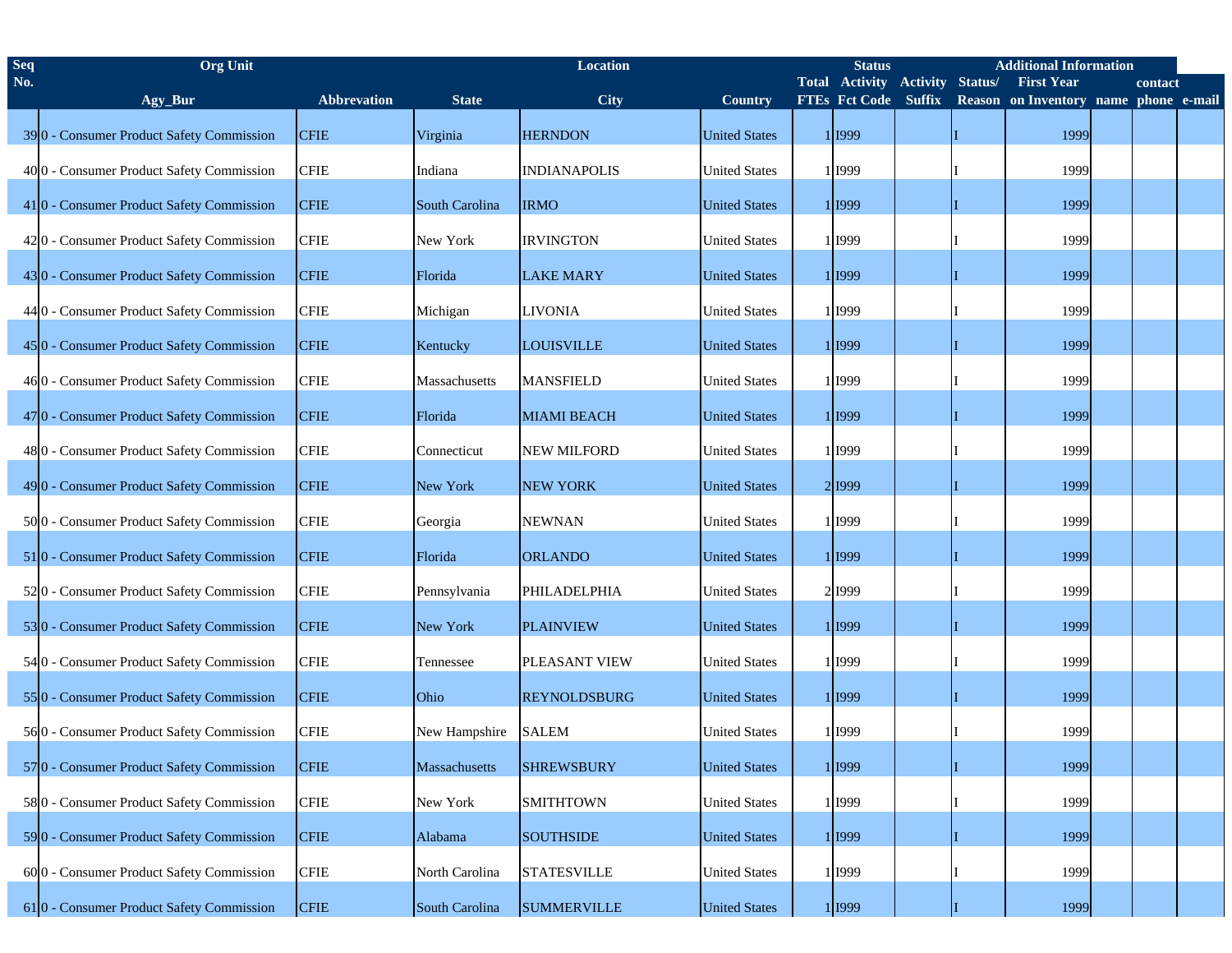| <b>Seq</b> | <b>Org Unit</b>                                      |             | <b>Location</b> |                     |                      |  | <b>Additional Information</b><br><b>Status</b> |                 |         |                                       |  |         |  |  |
|------------|------------------------------------------------------|-------------|-----------------|---------------------|----------------------|--|------------------------------------------------|-----------------|---------|---------------------------------------|--|---------|--|--|
| No.        |                                                      |             |                 |                     |                      |  | <b>Total Activity</b>                          | <b>Activity</b> | Status/ | <b>First Year</b>                     |  | contact |  |  |
|            | Agy_Bur                                              | Abbrevation | <b>State</b>    | <b>City</b>         | <b>Country</b>       |  | <b>FTEs Fct Code Suffix</b>                    |                 |         | Reason on Inventory name phone e-mail |  |         |  |  |
|            | 390 - Consumer Product Safety Commission             | <b>CFIE</b> | Virginia        | <b>HERNDON</b>      | <b>United States</b> |  | 1 I999                                         |                 |         | 1999                                  |  |         |  |  |
|            | 400 - Consumer Product Safety Commission             | <b>CFIE</b> | Indiana         | <b>INDIANAPOLIS</b> | <b>United States</b> |  | 1 I999                                         |                 |         | 1999                                  |  |         |  |  |
|            | 410 - Consumer Product Safety Commission             | <b>CFIE</b> | South Carolina  | <b>IRMO</b>         | <b>United States</b> |  | 1 1999                                         |                 |         | 1999                                  |  |         |  |  |
|            | 420 - Consumer Product Safety Commission             | <b>CFIE</b> | New York        | <b>IRVINGTON</b>    | <b>United States</b> |  | 1 1999                                         |                 |         | 1999                                  |  |         |  |  |
|            | 430 - Consumer Product Safety Commission             | <b>CFIE</b> | Florida         | <b>LAKE MARY</b>    | <b>United States</b> |  | 1 I999                                         |                 |         | 1999                                  |  |         |  |  |
|            | 44 0 - Consumer Product Safety Commission            | <b>CFIE</b> | Michigan        | <b>LIVONIA</b>      | <b>United States</b> |  | 1 1999                                         |                 |         | 1999                                  |  |         |  |  |
|            | 450 - Consumer Product Safety Commission             | <b>CFIE</b> | Kentucky        | <b>LOUISVILLE</b>   | <b>United States</b> |  | 1 I999                                         |                 |         | 1999                                  |  |         |  |  |
|            | 460 - Consumer Product Safety Commission             | <b>CFIE</b> | Massachusetts   | <b>MANSFIELD</b>    | <b>United States</b> |  | 1 1999                                         |                 |         | 1999                                  |  |         |  |  |
|            | 47 <sup>0</sup> - Consumer Product Safety Commission | <b>CFIE</b> | Florida         | <b>MIAMI BEACH</b>  | <b>United States</b> |  | 1 I999                                         |                 |         | 1999                                  |  |         |  |  |
|            | 480 - Consumer Product Safety Commission             | <b>CFIE</b> | Connecticut     | <b>NEW MILFORD</b>  | <b>United States</b> |  | 1 1999                                         |                 |         | 1999                                  |  |         |  |  |
|            | 490 - Consumer Product Safety Commission             | <b>CFIE</b> | New York        | <b>NEW YORK</b>     | <b>United States</b> |  | 2 1999                                         |                 |         | 1999                                  |  |         |  |  |
|            | 5000 - Consumer Product Safety Commission            | <b>CFIE</b> | Georgia         | <b>NEWNAN</b>       | <b>United States</b> |  | 1 1999                                         |                 |         | 1999                                  |  |         |  |  |
|            | 510 - Consumer Product Safety Commission             | <b>CFIE</b> | Florida         | <b>ORLANDO</b>      | <b>United States</b> |  | 1 I999                                         |                 |         | 1999                                  |  |         |  |  |
|            | 520 - Consumer Product Safety Commission             | <b>CFIE</b> | Pennsylvania    | PHILADELPHIA        | <b>United States</b> |  | 2 1999                                         |                 |         | 1999                                  |  |         |  |  |
|            | 530 - Consumer Product Safety Commission             | <b>CFIE</b> | New York        | <b>PLAINVIEW</b>    | <b>United States</b> |  | 1 I999                                         |                 |         | 1999                                  |  |         |  |  |
|            | 54 0 - Consumer Product Safety Commission            | <b>CFIE</b> | Tennessee       | PLEASANT VIEW       | <b>United States</b> |  | 1 1999                                         |                 |         | 1999                                  |  |         |  |  |
|            | 550 - Consumer Product Safety Commission             | <b>CFIE</b> | Ohio            | <b>REYNOLDSBURG</b> | <b>United States</b> |  | 1 I999                                         |                 |         | 1999                                  |  |         |  |  |
|            | 560 - Consumer Product Safety Commission             | <b>CFIE</b> | New Hampshire   | <b>SALEM</b>        | <b>United States</b> |  | 1 I999                                         |                 |         | 1999                                  |  |         |  |  |
|            | 570 - Consumer Product Safety Commission             | <b>CFIE</b> | Massachusetts   | <b>SHREWSBURY</b>   | <b>United States</b> |  | 11999                                          |                 |         | 1999                                  |  |         |  |  |
|            | 580 - Consumer Product Safety Commission             | <b>CFIE</b> | New York        | <b>SMITHTOWN</b>    | <b>United States</b> |  | 1 I999                                         |                 |         | 1999                                  |  |         |  |  |
|            | 590 - Consumer Product Safety Commission             | <b>CFIE</b> | Alabama         | <b>SOUTHSIDE</b>    | <b>United States</b> |  | 1 I999                                         |                 |         | 1999                                  |  |         |  |  |
|            | 600 - Consumer Product Safety Commission             | <b>CFIE</b> | North Carolina  | <b>STATESVILLE</b>  | <b>United States</b> |  | 1 I999                                         |                 |         | 1999                                  |  |         |  |  |
|            | 610 - Consumer Product Safety Commission             | <b>CFIE</b> | South Carolina  | <b>SUMMERVILLE</b>  | <b>United States</b> |  | 1 1999                                         |                 |         | 1999                                  |  |         |  |  |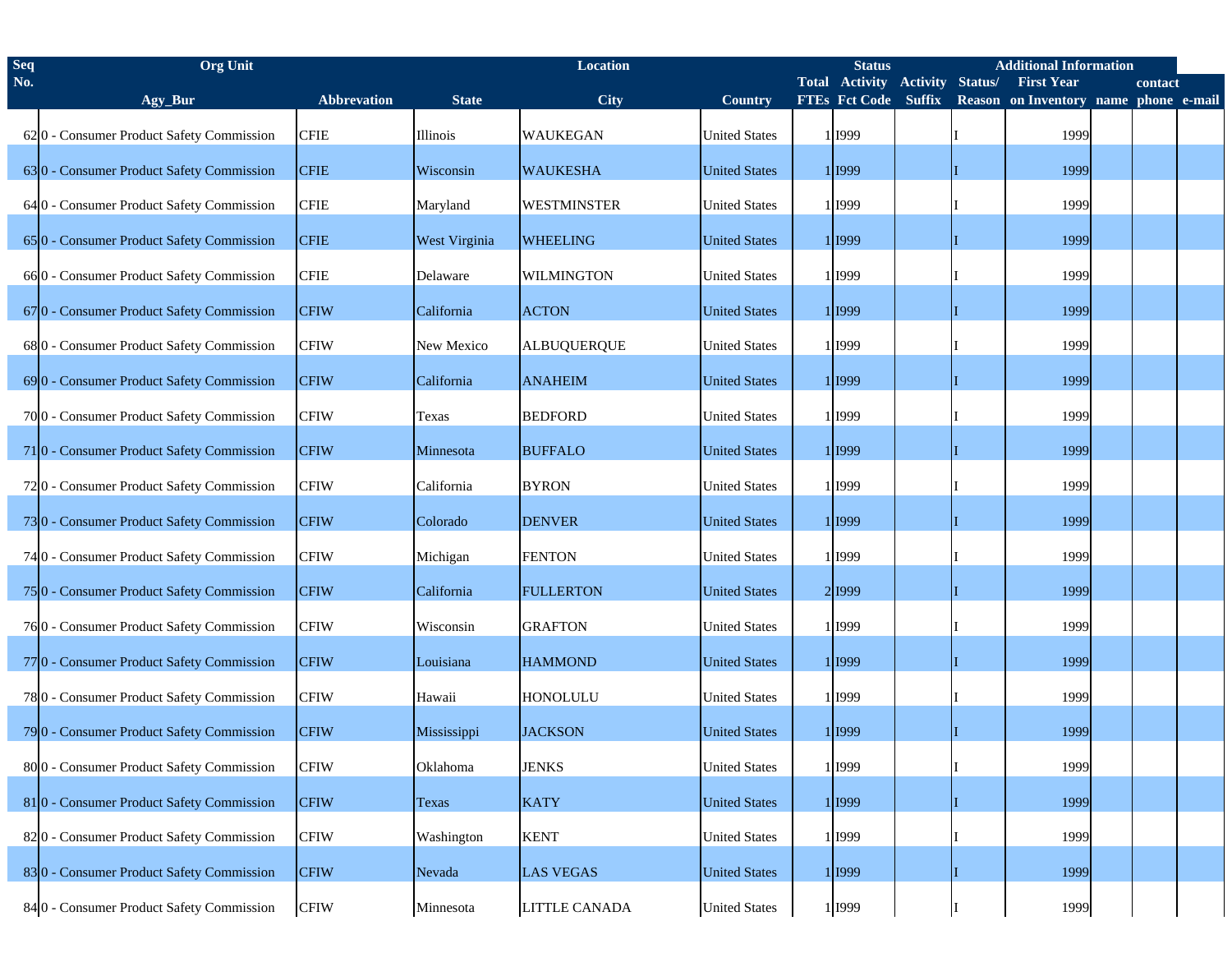| <b>Seq</b> | <b>Org Unit</b>                           |                    | <b>Location</b>      |                    |                      |  | <b>Additional Information</b><br><b>Status</b> |                 |         |                                       |  |         |  |
|------------|-------------------------------------------|--------------------|----------------------|--------------------|----------------------|--|------------------------------------------------|-----------------|---------|---------------------------------------|--|---------|--|
| No.        |                                           |                    |                      |                    |                      |  | <b>Total Activity</b>                          | <b>Activity</b> | Status/ | <b>First Year</b>                     |  | contact |  |
|            | Agy_Bur                                   | <b>Abbrevation</b> | <b>State</b>         | City               | <b>Country</b>       |  | FTEs Fct Code Suffix                           |                 |         | Reason on Inventory name phone e-mail |  |         |  |
|            | 620 - Consumer Product Safety Commission  | <b>CFIE</b>        | Illinois             | <b>WAUKEGAN</b>    | <b>United States</b> |  | 1 1999                                         |                 |         | 1999                                  |  |         |  |
|            | 630 - Consumer Product Safety Commission  | <b>CFIE</b>        | Wisconsin            | <b>WAUKESHA</b>    | <b>United States</b> |  | 1 I999                                         |                 |         | 1999                                  |  |         |  |
|            | 64 0 - Consumer Product Safety Commission | <b>CFIE</b>        | Maryland             | <b>WESTMINSTER</b> | <b>United States</b> |  | 1 1999                                         |                 |         | 1999                                  |  |         |  |
|            | 650 - Consumer Product Safety Commission  | <b>CFIE</b>        | <b>West Virginia</b> | <b>WHEELING</b>    | <b>United States</b> |  | 1 I999                                         |                 |         | 1999                                  |  |         |  |
|            | 660 - Consumer Product Safety Commission  | <b>CFIE</b>        | Delaware             | <b>WILMINGTON</b>  | <b>United States</b> |  | 1 1999                                         |                 |         | 1999                                  |  |         |  |
|            | 670 - Consumer Product Safety Commission  | <b>CFIW</b>        | California           | <b>ACTON</b>       | <b>United States</b> |  | 1 I999                                         |                 |         | 1999                                  |  |         |  |
|            | 680 - Consumer Product Safety Commission  | <b>CFIW</b>        | New Mexico           | <b>ALBUQUERQUE</b> | <b>United States</b> |  | 1 1999                                         |                 |         | 1999                                  |  |         |  |
|            | 690 - Consumer Product Safety Commission  | <b>CFIW</b>        | California           | <b>ANAHEIM</b>     | <b>United States</b> |  | 1 I999                                         |                 |         | 1999                                  |  |         |  |
|            | 7000 - Consumer Product Safety Commission | <b>CFIW</b>        | Texas                | <b>BEDFORD</b>     | <b>United States</b> |  | 1 1999                                         |                 |         | 1999                                  |  |         |  |
|            | 710 - Consumer Product Safety Commission  | <b>CFIW</b>        | Minnesota            | <b>BUFFALO</b>     | <b>United States</b> |  | 1 I999                                         |                 |         | 1999                                  |  |         |  |
|            | 720 - Consumer Product Safety Commission  | <b>CFIW</b>        | California           | <b>BYRON</b>       | <b>United States</b> |  | 1 I999                                         |                 |         | 1999                                  |  |         |  |
|            | 730 - Consumer Product Safety Commission  | <b>CFIW</b>        | Colorado             | <b>DENVER</b>      | <b>United States</b> |  | 1 I999                                         |                 |         | 1999                                  |  |         |  |
|            | 74 0 - Consumer Product Safety Commission | <b>CFIW</b>        | Michigan             | <b>FENTON</b>      | <b>United States</b> |  | 1 1999                                         |                 |         | 1999                                  |  |         |  |
|            | 750 - Consumer Product Safety Commission  | <b>CFIW</b>        | California           | <b>FULLERTON</b>   | <b>United States</b> |  | 2 1999                                         |                 |         | 1999                                  |  |         |  |
|            | 760 - Consumer Product Safety Commission  | <b>CFIW</b>        | Wisconsin            | <b>GRAFTON</b>     | <b>United States</b> |  | 1 1999                                         |                 |         | 1999                                  |  |         |  |
|            | 770 - Consumer Product Safety Commission  | <b>CFIW</b>        | Louisiana            | <b>HAMMOND</b>     | <b>United States</b> |  | 1 I999                                         |                 |         | 1999                                  |  |         |  |
|            | 780 - Consumer Product Safety Commission  | <b>CFIW</b>        | Hawaii               | <b>HONOLULU</b>    | <b>United States</b> |  | 1 1999                                         |                 |         | 1999                                  |  |         |  |
|            | 79 0 - Consumer Product Safety Commission | <b>CFIW</b>        | Mississippi          | <b>JACKSON</b>     | <b>United States</b> |  | 1 I999                                         |                 |         | 1999                                  |  |         |  |
|            | 800 - Consumer Product Safety Commission  | <b>CFIW</b>        | Oklahoma             | <b>JENKS</b>       | <b>United States</b> |  | 1 1999                                         |                 |         | 1999                                  |  |         |  |
|            | 810 - Consumer Product Safety Commission  | <b>CFIW</b>        | Texas                | <b>KATY</b>        | <b>United States</b> |  | 1 <sup>1999</sup>                              |                 |         | 1999                                  |  |         |  |
|            | 820 - Consumer Product Safety Commission  | <b>CFIW</b>        | Washington           | <b>KENT</b>        | <b>United States</b> |  | 1 <sup>1999</sup>                              |                 |         | 1999                                  |  |         |  |
|            | 830 - Consumer Product Safety Commission  | <b>CFIW</b>        | Nevada               | <b>LAS VEGAS</b>   | <b>United States</b> |  | 1 1999                                         |                 |         | 1999                                  |  |         |  |
|            | 84 0 - Consumer Product Safety Commission | <b>CFIW</b>        | Minnesota            | LITTLE CANADA      | <b>United States</b> |  | 1 1999                                         |                 |         | 1999                                  |  |         |  |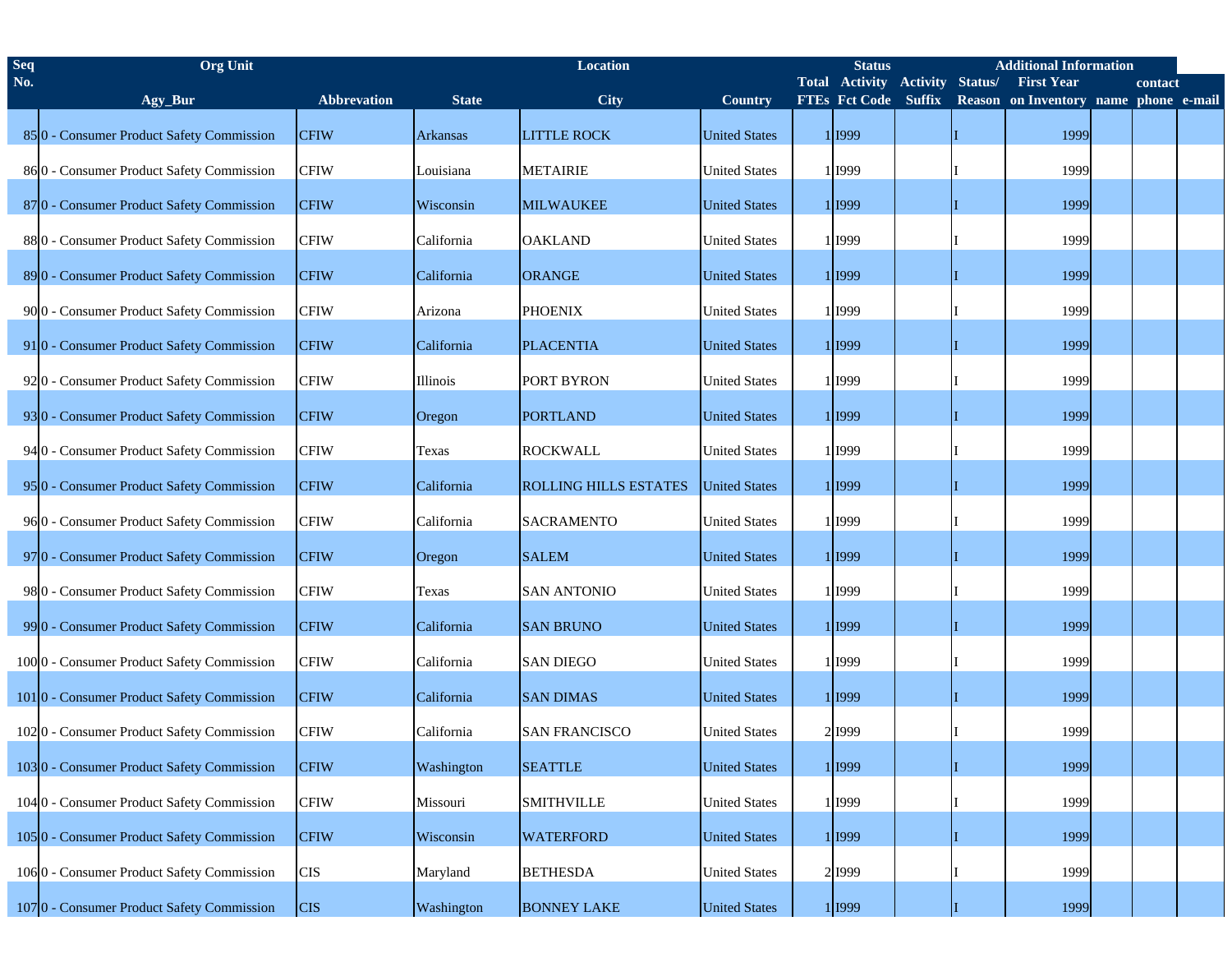| <b>Seq</b> | <b>Org Unit</b>                           |             | <b>Location</b> |                              |                      |  | <b>Status</b>               |                 | <b>Additional Information</b> |                                       |  |         |  |
|------------|-------------------------------------------|-------------|-----------------|------------------------------|----------------------|--|-----------------------------|-----------------|-------------------------------|---------------------------------------|--|---------|--|
| No.        |                                           |             |                 |                              |                      |  | <b>Total Activity</b>       | <b>Activity</b> | Status/                       | <b>First Year</b>                     |  | contact |  |
|            | Agy_Bur                                   | Abbrevation | <b>State</b>    | <b>City</b>                  | <b>Country</b>       |  | <b>FTEs Fct Code Suffix</b> |                 |                               | Reason on Inventory name phone e-mail |  |         |  |
|            | 850 - Consumer Product Safety Commission  | <b>CFIW</b> | <b>Arkansas</b> | <b>LITTLE ROCK</b>           | <b>United States</b> |  | 1 I999                      |                 |                               | 1999                                  |  |         |  |
|            | 860 - Consumer Product Safety Commission  | <b>CFIW</b> | Louisiana       | <b>METAIRIE</b>              | <b>United States</b> |  | 1 I999                      |                 |                               | 1999                                  |  |         |  |
|            | 870 - Consumer Product Safety Commission  | <b>CFIW</b> | Wisconsin       | <b>MILWAUKEE</b>             | <b>United States</b> |  | 1 1999                      |                 |                               | 1999                                  |  |         |  |
|            | 880 - Consumer Product Safety Commission  | <b>CFIW</b> | California      | <b>OAKLAND</b>               | <b>United States</b> |  | 1 1999                      |                 |                               | 1999                                  |  |         |  |
|            | 890 - Consumer Product Safety Commission  | <b>CFIW</b> | California      | <b>ORANGE</b>                | <b>United States</b> |  | 1 I999                      |                 |                               | 1999                                  |  |         |  |
|            | 9000 - Consumer Product Safety Commission | <b>CFIW</b> | Arizona         | <b>PHOENIX</b>               | <b>United States</b> |  | 1 1999                      |                 |                               | 1999                                  |  |         |  |
|            | 910 - Consumer Product Safety Commission  | <b>CFIW</b> | California      | <b>PLACENTIA</b>             | <b>United States</b> |  | 1 1999                      |                 |                               | 1999                                  |  |         |  |
|            | 920 - Consumer Product Safety Commission  | <b>CFIW</b> | Illinois        | PORT BYRON                   | <b>United States</b> |  | 1 1999                      |                 |                               | 1999                                  |  |         |  |
|            | 930 - Consumer Product Safety Commission  | <b>CFIW</b> | Oregon          | <b>PORTLAND</b>              | <b>United States</b> |  | 1 1999                      |                 |                               | 1999                                  |  |         |  |
|            | 94 0 - Consumer Product Safety Commission | <b>CFIW</b> | Texas           | <b>ROCKWALL</b>              | <b>United States</b> |  | 1 1999                      |                 |                               | 1999                                  |  |         |  |
|            | 950 - Consumer Product Safety Commission  | <b>CFIW</b> | California      | <b>ROLLING HILLS ESTATES</b> | <b>United States</b> |  | 1 I999                      |                 |                               | 1999                                  |  |         |  |
|            | 960 - Consumer Product Safety Commission  | <b>CFIW</b> | California      | <b>SACRAMENTO</b>            | <b>United States</b> |  | 1 1999                      |                 |                               | 1999                                  |  |         |  |
|            | 970 - Consumer Product Safety Commission  | <b>CFIW</b> | Oregon          | <b>SALEM</b>                 | <b>United States</b> |  | 1 1999                      |                 |                               | 1999                                  |  |         |  |
|            | 980 - Consumer Product Safety Commission  | <b>CFIW</b> | Texas           | <b>SAN ANTONIO</b>           | <b>United States</b> |  | 1 1999                      |                 |                               | 1999                                  |  |         |  |
|            | 990 - Consumer Product Safety Commission  | <b>CFIW</b> | California      | <b>SAN BRUNO</b>             | <b>United States</b> |  | 1 I999                      |                 |                               | 1999                                  |  |         |  |
|            | 1000 - Consumer Product Safety Commission | <b>CFIW</b> | California      | <b>SAN DIEGO</b>             | <b>United States</b> |  | 1 1999                      |                 |                               | 1999                                  |  |         |  |
|            | 1010 - Consumer Product Safety Commission | <b>CFIW</b> | California      | <b>SAN DIMAS</b>             | <b>United States</b> |  | 1 1999                      |                 |                               | 1999                                  |  |         |  |
|            | 1020 - Consumer Product Safety Commission | <b>CFIW</b> | California      | <b>SAN FRANCISCO</b>         | <b>United States</b> |  | 2 1999                      |                 |                               | 1999                                  |  |         |  |
|            | 1030 - Consumer Product Safety Commission | <b>CFIW</b> | Washington      | <b>SEATTLE</b>               | <b>United States</b> |  | 11999                       |                 |                               | 1999                                  |  |         |  |
|            | 1040 - Consumer Product Safety Commission | <b>CFIW</b> | Missouri        | <b>SMITHVILLE</b>            | <b>United States</b> |  | 1 I999                      |                 |                               | 1999                                  |  |         |  |
|            | 1050 - Consumer Product Safety Commission | <b>CFIW</b> | Wisconsin       | <b>WATERFORD</b>             | <b>United States</b> |  | 11999                       |                 |                               | 1999                                  |  |         |  |
|            | 1060 - Consumer Product Safety Commission | <b>CIS</b>  | Maryland        | <b>BETHESDA</b>              | <b>United States</b> |  | 2 1999                      |                 |                               | 1999                                  |  |         |  |
|            | 1070 - Consumer Product Safety Commission | <b>CIS</b>  | Washington      | <b>BONNEY LAKE</b>           | <b>United States</b> |  | 1 1999                      |                 |                               | 1999                                  |  |         |  |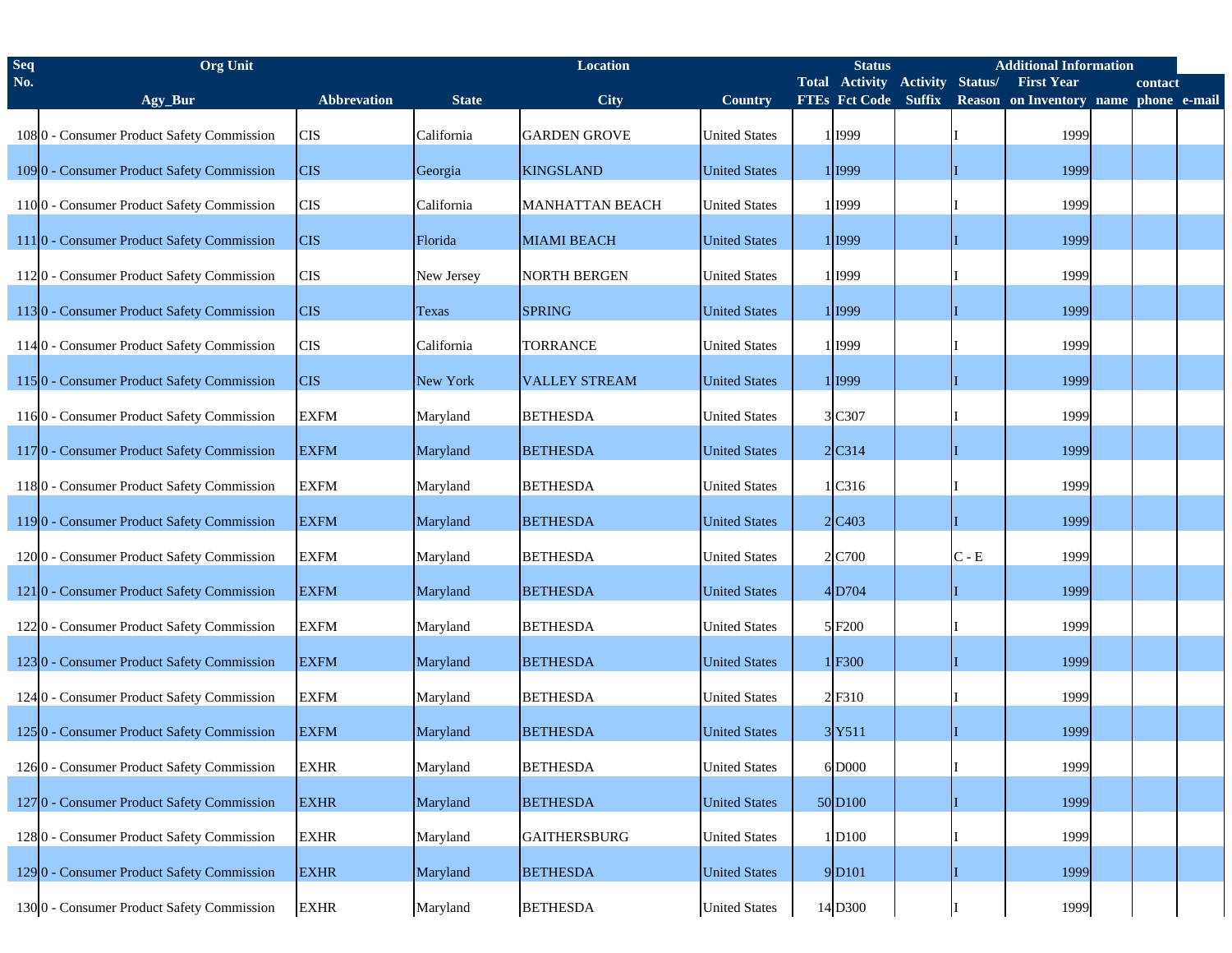| <b>Seq</b> | <b>Org</b> Unit                           |                    | <b>Location</b> |                        |                      |  | <b>Additional Information</b><br><b>Status</b> |                 |         |                                       |  |         |  |
|------------|-------------------------------------------|--------------------|-----------------|------------------------|----------------------|--|------------------------------------------------|-----------------|---------|---------------------------------------|--|---------|--|
| No.        |                                           |                    |                 |                        |                      |  | <b>Total Activity</b>                          | <b>Activity</b> | Status/ | <b>First Year</b>                     |  | contact |  |
|            | Agy_Bur                                   | <b>Abbrevation</b> | <b>State</b>    | <b>City</b>            | Country              |  | FTEs Fct Code Suffix                           |                 |         | Reason on Inventory name phone e-mail |  |         |  |
|            | 1080 - Consumer Product Safety Commission | <b>CIS</b>         | California      | <b>GARDEN GROVE</b>    | <b>United States</b> |  | 1 1999                                         |                 |         | 1999                                  |  |         |  |
|            | 1090 - Consumer Product Safety Commission | <b>CIS</b>         | Georgia         | <b>KINGSLAND</b>       | <b>United States</b> |  | 1 I999                                         |                 |         | 1999                                  |  |         |  |
|            | 1100 - Consumer Product Safety Commission | <b>CIS</b>         | California      | <b>MANHATTAN BEACH</b> | <b>United States</b> |  | 1 1999                                         |                 |         | 1999                                  |  |         |  |
|            | 1110 - Consumer Product Safety Commission | <b>CIS</b>         | Florida         | <b>MIAMI BEACH</b>     | <b>United States</b> |  | 1 I999                                         |                 |         | 1999                                  |  |         |  |
|            | 1120 - Consumer Product Safety Commission | <b>CIS</b>         | New Jersey      | <b>NORTH BERGEN</b>    | <b>United States</b> |  | 1 1999                                         |                 |         | 1999                                  |  |         |  |
|            | 1130 - Consumer Product Safety Commission | <b>CIS</b>         | Texas           | <b>SPRING</b>          | <b>United States</b> |  | 1 I999                                         |                 |         | 1999                                  |  |         |  |
|            | 1140 - Consumer Product Safety Commission | <b>CIS</b>         | California      | <b>TORRANCE</b>        | <b>United States</b> |  | 1 1999                                         |                 |         | 1999                                  |  |         |  |
|            | 1150 - Consumer Product Safety Commission | <b>CIS</b>         | New York        | <b>VALLEY STREAM</b>   | <b>United States</b> |  | 1 1999                                         |                 |         | 1999                                  |  |         |  |
|            | 1160 - Consumer Product Safety Commission | <b>EXFM</b>        | Maryland        | <b>BETHESDA</b>        | <b>United States</b> |  | 3 C307                                         |                 |         | 1999                                  |  |         |  |
|            | 1170 - Consumer Product Safety Commission | <b>EXFM</b>        | Maryland        | <b>BETHESDA</b>        | <b>United States</b> |  | 2C314                                          |                 |         | 1999                                  |  |         |  |
|            | 1180 - Consumer Product Safety Commission | <b>EXFM</b>        | Maryland        | <b>BETHESDA</b>        | <b>United States</b> |  | 1 C316                                         |                 |         | 1999                                  |  |         |  |
|            | 1190 - Consumer Product Safety Commission | <b>EXFM</b>        | Maryland        | <b>BETHESDA</b>        | <b>United States</b> |  | $2$ C <sub>403</sub>                           |                 |         | 1999                                  |  |         |  |
|            | 1200 - Consumer Product Safety Commission | <b>EXFM</b>        | Maryland        | <b>BETHESDA</b>        | <b>United States</b> |  | 2 C700                                         |                 | $C - E$ | 1999                                  |  |         |  |
|            | 1210 - Consumer Product Safety Commission | <b>EXFM</b>        | Maryland        | <b>BETHESDA</b>        | <b>United States</b> |  | 4D704                                          |                 |         | 1999                                  |  |         |  |
|            | 1220 - Consumer Product Safety Commission | <b>EXFM</b>        | Maryland        | <b>BETHESDA</b>        | <b>United States</b> |  | 5F200                                          |                 |         | 1999                                  |  |         |  |
|            | 1230 - Consumer Product Safety Commission | <b>EXFM</b>        | Maryland        | <b>BETHESDA</b>        | <b>United States</b> |  | 1F300                                          |                 |         | 1999                                  |  |         |  |
|            | 1240 - Consumer Product Safety Commission | <b>EXFM</b>        | Maryland        | <b>BETHESDA</b>        | <b>United States</b> |  | 2F310                                          |                 |         | 1999                                  |  |         |  |
|            | 1250 - Consumer Product Safety Commission | <b>EXFM</b>        | Maryland        | <b>BETHESDA</b>        | <b>United States</b> |  | 3Y511                                          |                 |         | 1999                                  |  |         |  |
|            | 1260 - Consumer Product Safety Commission | <b>EXHR</b>        | Maryland        | <b>BETHESDA</b>        | <b>United States</b> |  | 6 D000                                         |                 |         | 1999                                  |  |         |  |
|            | 1270 - Consumer Product Safety Commission | <b>EXHR</b>        | Maryland        | <b>BETHESDA</b>        | <b>United States</b> |  | 50 D <sub>100</sub>                            |                 |         | 1999                                  |  |         |  |
|            | 1280 - Consumer Product Safety Commission | <b>EXHR</b>        | Maryland        | <b>GAITHERSBURG</b>    | <b>United States</b> |  | 1D100                                          |                 |         | 1999                                  |  |         |  |
|            | 1290 - Consumer Product Safety Commission | <b>EXHR</b>        | Maryland        | <b>BETHESDA</b>        | <b>United States</b> |  | 9D <sub>101</sub>                              |                 |         | 1999                                  |  |         |  |
|            | 1300 - Consumer Product Safety Commission | <b>EXHR</b>        | Maryland        | <b>BETHESDA</b>        | <b>United States</b> |  | 14 D300                                        |                 |         | 1999                                  |  |         |  |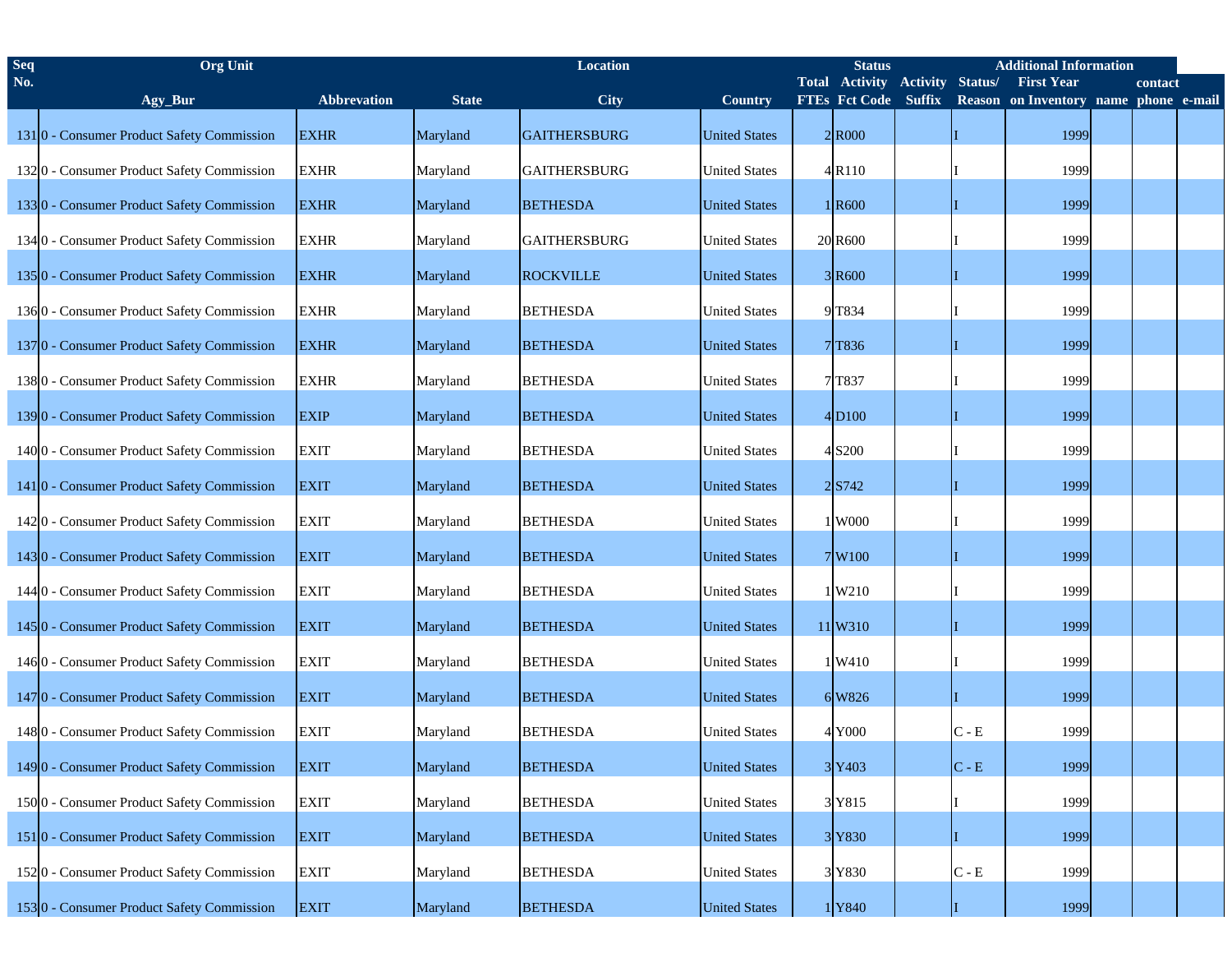| <b>Seq</b> | <b>Org Unit</b>                           |                    | Location     |                     |                      |  | <b>Additional Information</b><br><b>Status</b> |                 |                           |                                       |  |         |  |  |
|------------|-------------------------------------------|--------------------|--------------|---------------------|----------------------|--|------------------------------------------------|-----------------|---------------------------|---------------------------------------|--|---------|--|--|
| No.        |                                           |                    |              |                     |                      |  | <b>Total Activity</b>                          | <b>Activity</b> | Status/                   | <b>First Year</b>                     |  | contact |  |  |
|            | Agy_Bur                                   | <b>Abbrevation</b> | <b>State</b> | City                | Country              |  | <b>FTEs Fct Code Suffix</b>                    |                 |                           | Reason on Inventory name phone e-mail |  |         |  |  |
|            | 1310 - Consumer Product Safety Commission | <b>EXHR</b>        | Maryland     | <b>GAITHERSBURG</b> | <b>United States</b> |  | 2 R000                                         |                 |                           | 1999                                  |  |         |  |  |
|            | 1320 - Consumer Product Safety Commission | <b>EXHR</b>        | Maryland     | <b>GAITHERSBURG</b> | <b>United States</b> |  | 4 R110                                         |                 |                           | 1999                                  |  |         |  |  |
|            | 1330 - Consumer Product Safety Commission | <b>EXHR</b>        | Maryland     | <b>BETHESDA</b>     | <b>United States</b> |  | 1 R <sub>600</sub>                             |                 |                           | 1999                                  |  |         |  |  |
|            | 1340 - Consumer Product Safety Commission | <b>EXHR</b>        | Maryland     | <b>GAITHERSBURG</b> | <b>United States</b> |  | 20 R600                                        |                 |                           | 1999                                  |  |         |  |  |
|            | 1350 - Consumer Product Safety Commission | <b>EXHR</b>        | Maryland     | <b>ROCKVILLE</b>    | <b>United States</b> |  | 3 R600                                         |                 |                           | 1999                                  |  |         |  |  |
|            | 1360 - Consumer Product Safety Commission | <b>EXHR</b>        | Maryland     | <b>BETHESDA</b>     | <b>United States</b> |  | 9T834                                          |                 |                           | 1999                                  |  |         |  |  |
|            | 1370 - Consumer Product Safety Commission | <b>EXHR</b>        | Maryland     | <b>BETHESDA</b>     | <b>United States</b> |  | 7T836                                          |                 |                           | 1999                                  |  |         |  |  |
|            | 1380 - Consumer Product Safety Commission | <b>EXHR</b>        | Maryland     | <b>BETHESDA</b>     | <b>United States</b> |  | 7 T837                                         |                 |                           | 1999                                  |  |         |  |  |
|            | 1390 - Consumer Product Safety Commission | <b>EXIP</b>        | Maryland     | <b>BETHESDA</b>     | <b>United States</b> |  | 4D <sub>100</sub>                              |                 |                           | 1999                                  |  |         |  |  |
|            | 1400 - Consumer Product Safety Commission | <b>EXIT</b>        | Maryland     | <b>BETHESDA</b>     | <b>United States</b> |  | 4 S200                                         |                 |                           | 1999                                  |  |         |  |  |
|            | 1410 - Consumer Product Safety Commission | <b>EXIT</b>        | Maryland     | <b>BETHESDA</b>     | <b>United States</b> |  | 2S742                                          |                 |                           | 1999                                  |  |         |  |  |
|            | 1420 - Consumer Product Safety Commission | <b>EXIT</b>        | Maryland     | <b>BETHESDA</b>     | <b>United States</b> |  | 1 W000                                         |                 |                           | 1999                                  |  |         |  |  |
|            | 1430 - Consumer Product Safety Commission | <b>EXIT</b>        | Maryland     | <b>BETHESDA</b>     | <b>United States</b> |  | 7W100                                          |                 |                           | 1999                                  |  |         |  |  |
|            | 1440 - Consumer Product Safety Commission | <b>EXIT</b>        | Maryland     | <b>BETHESDA</b>     | <b>United States</b> |  | 1W210                                          |                 |                           | 1999                                  |  |         |  |  |
|            | 1450 - Consumer Product Safety Commission | <b>EXIT</b>        | Maryland     | <b>BETHESDA</b>     | <b>United States</b> |  | 11 W310                                        |                 |                           | 1999                                  |  |         |  |  |
|            | 1460 - Consumer Product Safety Commission | <b>EXIT</b>        | Maryland     | <b>BETHESDA</b>     | <b>United States</b> |  | 1W410                                          |                 |                           | 1999                                  |  |         |  |  |
|            | 1470 - Consumer Product Safety Commission | <b>EXIT</b>        | Maryland     | <b>BETHESDA</b>     | <b>United States</b> |  | 6 W826                                         |                 |                           | 1999                                  |  |         |  |  |
|            | 1480 - Consumer Product Safety Commission | <b>EXIT</b>        | Maryland     | <b>BETHESDA</b>     | <b>United States</b> |  | 4 Y000                                         |                 | $C - E$                   | 1999                                  |  |         |  |  |
|            | 1490 - Consumer Product Safety Commission | <b>EXIT</b>        | Maryland     | <b>BETHESDA</b>     | <b>United States</b> |  | 3Y403                                          |                 | $C - E$                   | 1999                                  |  |         |  |  |
|            | 1500 - Consumer Product Safety Commission | <b>EXIT</b>        | Maryland     | <b>BETHESDA</b>     | <b>United States</b> |  | 3 Y815                                         |                 |                           | 1999                                  |  |         |  |  |
|            | 1510 - Consumer Product Safety Commission | <b>EXIT</b>        | Maryland     | <b>BETHESDA</b>     | <b>United States</b> |  | 3 Y830                                         |                 |                           | 1999                                  |  |         |  |  |
|            | 1520 - Consumer Product Safety Commission | <b>EXIT</b>        | Maryland     | <b>BETHESDA</b>     | <b>United States</b> |  | 3 Y830                                         |                 | $\mathbf C$ - $\mathbf E$ | 1999                                  |  |         |  |  |
|            | 1530 - Consumer Product Safety Commission | <b>EXIT</b>        | Maryland     | <b>BETHESDA</b>     | <b>United States</b> |  | 1Y840                                          |                 |                           | 1999                                  |  |         |  |  |